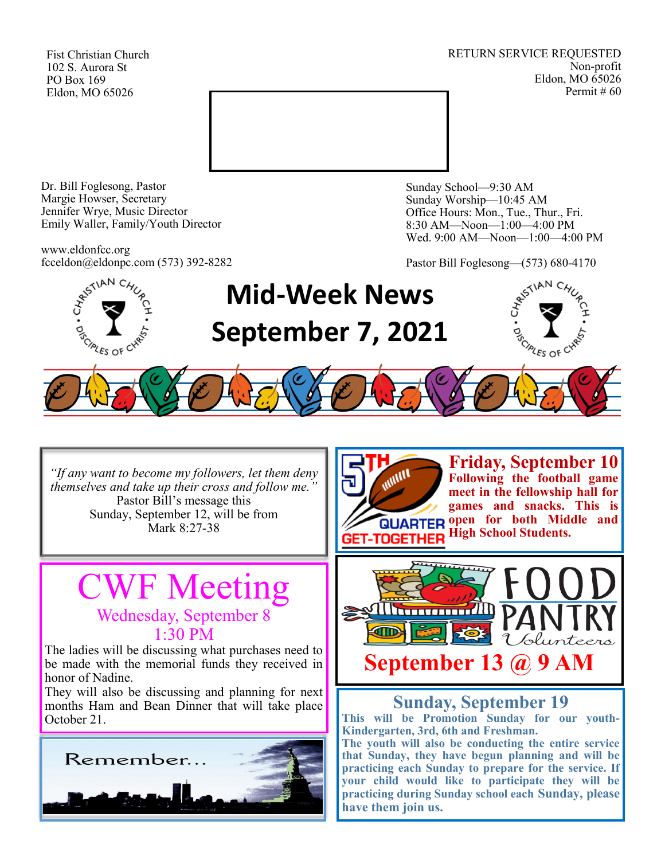Fist Christian Church 102 S. Aurora St PO Box 169 Eldon, MO 65026

RETURN SERVICE REQUESTED Non-profit Eldon, MO 65026 Permit # 60



Dr. Bill Foglesong, Pastor Margie Howser, Secretary Jennifer Wrye, Music Director Emily Waller, Family/Youth Director

www.eldonfcc.org fcceldon@eldonpc.com (573) 392-8282 Sunday School—9:30 AM Sunday Worship—10:45 AM Office Hours: Mon., Tue., Thur., Fri. 8:30 AM—Noon—1:00—4:00 PM Wed. 9:00 AM—Noon—1:00—4:00 PM

Pastor Bill Foglesong—(573) 680-4170



## **Mid-Week News September 7, 2021**



*"If any want to become my followers, let them deny themselves and take up their cross and follow me."* Pastor Bill's message this Sunday, September 12, will be from Mark 8:27-38

### VF Meeting Wednesday, September 8 1:30 PM

The ladies will be discussing what purchases need to be made with the memorial funds they received in honor of Nadine.

They will also be discussing and planning for next months Ham and Bean Dinner that will take place October 21.





**Friday, September 10 Following the football game meet in the fellowship hall for games and snacks. This is QUARTER OPEN for both Middle and High School Students.** 



### **Sunday, September 19**

**This will be Promotion Sunday for our youth-Kindergarten, 3rd, 6th and Freshman.**

**The youth will also be conducting the entire service that Sunday, they have begun planning and will be practicing each Sunday to prepare for the service. If your child would like to participate they will be practicing during Sunday school each Sunday, please have them join us.**